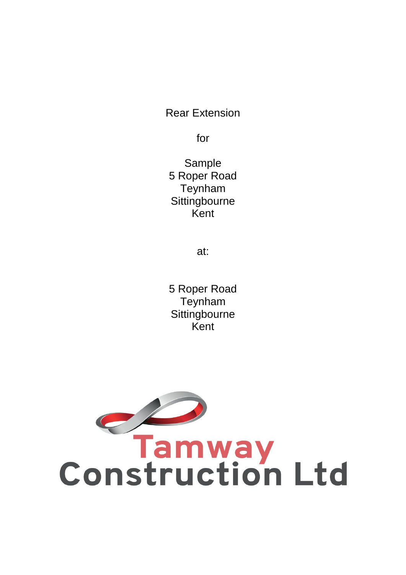Rear Extension

for

Sample 5 Roper Road Teynham **Sittingbourne** Kent

at:

5 Roper Road Teynham **Sittingbourne** Kent

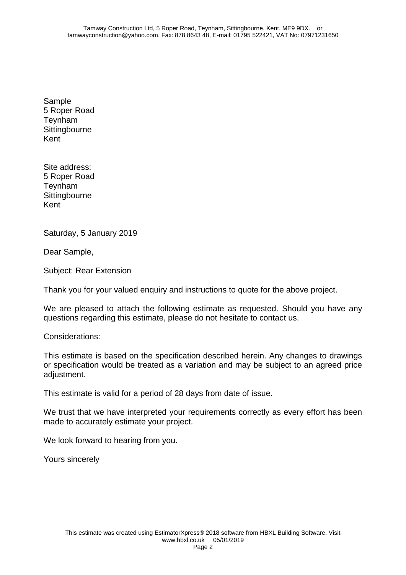Sample 5 Roper Road Teynham **Sittingbourne** Kent

Site address: 5 Roper Road Teynham **Sittingbourne** Kent

Saturday, 5 January 2019

Dear Sample,

Subject: Rear Extension

Thank you for your valued enquiry and instructions to quote for the above project.

We are pleased to attach the following estimate as requested. Should you have any questions regarding this estimate, please do not hesitate to contact us.

Considerations:

This estimate is based on the specification described herein. Any changes to drawings or specification would be treated as a variation and may be subject to an agreed price adjustment.

This estimate is valid for a period of 28 days from date of issue.

We trust that we have interpreted your requirements correctly as every effort has been made to accurately estimate your project.

We look forward to hearing from you.

Yours sincerely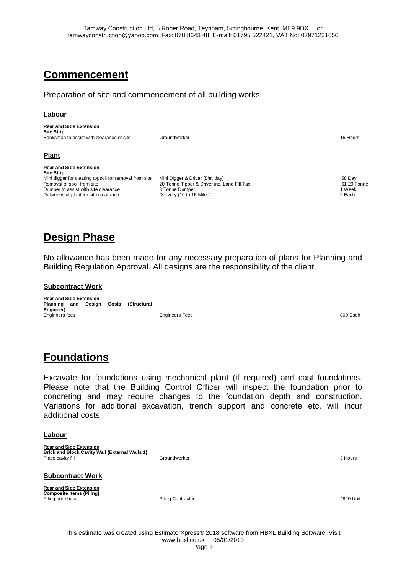# **Commencement**

Preparation of site and commencement of all building works.

### **Labour**

| <b>Rear and Side Extension</b>                         |                                             |              |
|--------------------------------------------------------|---------------------------------------------|--------------|
| <b>Site Strip</b>                                      |                                             |              |
| Banksman to assist with clearance of site              | Groundworker                                | 16 Hours     |
| <b>Plant</b>                                           |                                             |              |
| <b>Rear and Side Extension</b><br><b>Site Strip</b>    |                                             |              |
| Mini digger for clearing topsoil for removal from site | Mini Digger & Driver (8hr. day)             | .58 Day      |
| Removal of spoil from site                             | 20 Tonne Tipper & Driver inc. Land Fill Tax | .61 20 Tonne |
| Dumper to assist with site clearance                   | 3 Tonne Dumper                              | 1 Week       |
| Deliveries of plant for site clearance                 | Delivery (10 to 15 Miles)                   | 2 Each       |

# **Design Phase**

No allowance has been made for any necessary preparation of plans for Planning and Building Regulation Approval. All designs are the responsibility of the client.

#### **Subcontract Work**

**Rear and Side Extension Planning and Design Costs (Structural Engineer)** Enginners fees Engineers Fees 800 Each

## **Foundations**

Excavate for foundations using mechanical plant (if required) and cast foundations. Please note that the Building Control Officer will inspect the foundation prior to concreting and may require changes to the foundation depth and construction. Variations for additional excavation, trench support and concrete etc. will incur additional costs.

#### **Labour**

**Rear and Side Extension Brick and Block Cavity Wall (External Walls 1)** Place cavity fill **Containers** 3 Hours Coundworker **3 Hours 2 Hours** 3 Hours 3 Hours 3 Hours 3 Hours 3 Hours 3 Hours 3 Hours 3 Hours 3 Hours 3 Hours 3 Hours 3 Hours 3 Hours 3 Hours 3 Hours 3 Hours 3 Hours 3 Hours 3 Hours 3

### **Subcontract Work**

**Rear and Side Extension Composite Items (Piling)** Piling bore holes **Piling Contractor** Piling Contractor **Piling Contractor Piling Contractor Piling Contractor 1820 Unit**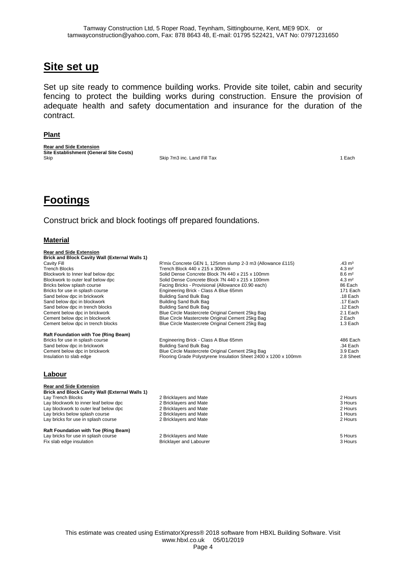## **Site set up**

Set up site ready to commence building works. Provide site toilet, cabin and security fencing to protect the building works during construction. Ensure the provision of adequate health and safety documentation and insurance for the duration of the contract.

#### **Plant**

**Rear and Side Extension Site Establishment (General Site Costs)** Skip Skip 7m3 inc. Land Fill Tax 1 Each 1 Each 1 Each 1 Each 1 Each 1 Each 1 Each 1 Each 1 Each 1 Each 1 Each 1 Each 1 Each 1 Each 1 Each 1 Each 1 Each 1 Each 1 Each 1 Each 1 Each 1 Each 1 Each 1 Each 1 Each 1 Each 1 Each

# **Footings**

**Rear and Side Extension**

Construct brick and block footings off prepared foundations.

#### **Material**

| <b>Brick and Block Cavity Wall (External Walls 1)</b> |                                                                 |                   |
|-------------------------------------------------------|-----------------------------------------------------------------|-------------------|
| Cavity Fill                                           | R'mix Concrete GEN 1, 125mm slump 2-3 m3 (Allowance £115)       | $.43 \text{ m}^3$ |
| <b>Trench Blocks</b>                                  | Trench Block 440 x 215 x 300mm                                  | $4.3 \text{ m}^2$ |
| Blockwork to Inner leaf below dpc                     | Solid Dense Concrete Block 7N 440 x 215 x 100mm                 | $8.6 \text{ m}^2$ |
| Blockwork to outer leaf below dpc                     | Solid Dense Concrete Block 7N 440 x 215 x 100mm                 | $4.3 \text{ m}^2$ |
| Bricks below splash course                            | Facing Bricks - Provisional (Allowance £0.90 each)              | 86 Each           |
| Bricks for use in splash course                       | Engineering Brick - Class A Blue 65mm                           | 171 Each          |
| Sand below dpc in brickwork                           | <b>Building Sand Bulk Bag</b>                                   | $.18$ Each        |
| Sand below dpc in blockwork                           | <b>Building Sand Bulk Bag</b>                                   | .17 Each          |
| Sand below dpc in trench blocks                       | Building Sand Bulk Bag                                          | .12 Each          |
| Cement below dpc in brickwork                         | Blue Circle Mastercrete Original Cement 25kg Bag                | 2.1 Each          |
| Cement below dpc in blockwork                         | Blue Circle Mastercrete Original Cement 25kg Bag                | 2 Each            |
| Cement below dpc in trench blocks                     | Blue Circle Mastercrete Original Cement 25kg Bag                | 1.3 Each          |
| Raft Foundation with Toe (Ring Beam)                  |                                                                 |                   |
| Bricks for use in splash course                       | Engineering Brick - Class A Blue 65mm                           | 486 Each          |
| Sand below dpc in brickwork                           | <b>Building Sand Bulk Bag</b>                                   | .34 Each          |
| Cement below dpc in brickwork                         | Blue Circle Mastercrete Original Cement 25kg Bag                | 3.9 Each          |
| Insulation to slab edge                               | Flooring Grade Polystyrene Insulation Sheet 2400 x 1200 x 100mm | 2.8 Sheet         |
| Labour                                                |                                                                 |                   |
| <b>Rear and Side Extension</b>                        |                                                                 |                   |
| <b>Brick and Block Cavity Wall (External Walls 1)</b> |                                                                 |                   |
| Lay Trench Blocks                                     | 2 Bricklayers and Mate                                          | 2 Hours           |
| Lay blockwork to inner leaf below dpc                 | 2 Bricklayers and Mate                                          | 3 Hours           |
| Lay blockwork to outer leaf below dpc                 | 2 Bricklayers and Mate                                          | 2 Hours           |
| Lay bricks below splash course                        | 2 Bricklayers and Mate                                          | 1 Hours           |
| Lay bricks for use in splash course                   | 2 Bricklayers and Mate                                          | 2 Hours           |

| <b>Raft Foundation with Toe (Ring Beam)</b> |                         |         |
|---------------------------------------------|-------------------------|---------|
| Lay bricks for use in splash course         | 2 Bricklavers and Mate  | 5 Hours |
| Fix slab edge insulation                    | Bricklaver and Labourer | 3 Hours |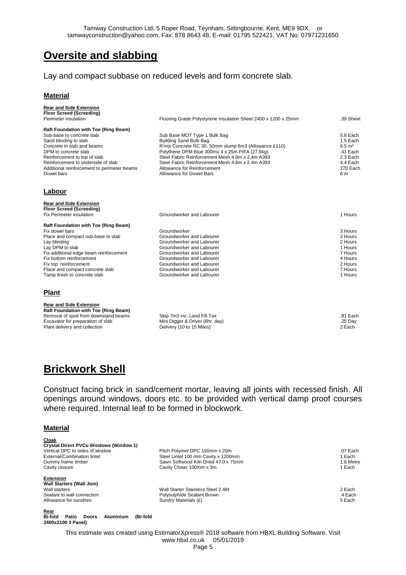## **Oversite and slabbing**

### Lay and compact subbase on reduced levels and form concrete slab.

#### **Material**

| <b>Rear and Side Extension</b><br><b>Floor Screed (Screeding)</b> |                                                                |                    |
|-------------------------------------------------------------------|----------------------------------------------------------------|--------------------|
| Perimeter insulation                                              | Flooring Grade Polystyrene Insulation Sheet 2400 x 1200 x 25mm | .39 Sheet          |
| <b>Raft Foundation with Toe (Ring Beam)</b>                       |                                                                |                    |
| Sub-base to concrete slab                                         | Sub Base MOT Type 1 Bulk Bag                                   | 5.8 Each           |
| Sand blinding to slab                                             | Building Sand Bulk Bag                                         | 1.5 Each           |
| Concrete in slab and beams                                        | R'mix Concrete RC 30, 50mm slump 6m3 (Allowance £110)          | $8.5 \text{ m}^3$  |
| DPM to concrete slab                                              | Polythene DPM Blue 300mu 4 x 25m PIFA (27.6kg)                 | .41 Each           |
| Reinforcement to top of slab                                      | Steel Fabric Reinforcement Mesh 4.8m x 2.4m A393               | 2.3 Each           |
| Reinforcement to underside of slab                                | Steel Fabric Reinforcement Mesh 4.8m x 2.4m A393               | 4.4 Each           |
| Additional reinforcement to perimeter beams                       | Allowance for Reinforcement                                    | 270 Each           |
| Dowel bars                                                        | Allowance for Dowel Bars                                       | 6 m                |
| Labour                                                            |                                                                |                    |
| <b>Rear and Side Extension</b>                                    |                                                                |                    |
| Floor Screed (Screeding)                                          |                                                                |                    |
| Fix Perimeter insulation                                          | Groundworker and Labourer                                      | 1 Hours            |
| <b>Raft Foundation with Toe (Ring Beam)</b>                       |                                                                |                    |
| Fix dowel bars                                                    | Groundworker                                                   | 3 Hours            |
| Place and compact sub-base to slab                                | Groundworker and Labourer                                      | 2 Hours            |
| Lay blinding                                                      | Groundworker and Labourer<br>Groundworker and Labourer         | 2 Hours<br>1 Hours |
| Lay DPM to slab<br>Fix additional edge beam reinforcement         | Groundworker and Labourer                                      | 7 Hours            |
| Fix bottom reinforcement                                          | Groundworker and Labourer                                      | 4 Hours            |
| Fix top reinforcement                                             | Groundworker and Labourer                                      | 2 Hours            |
| Place and compact concrete slab                                   | Groundworker and Labourer                                      | 7 Hours            |
| Tamp finish to concrete slab                                      | Groundworker and Labourer                                      | 1 Hours            |
| <b>Plant</b>                                                      |                                                                |                    |
| <b>Rear and Side Extension</b>                                    |                                                                |                    |
| Raft Foundation with Toe (Ring Beam)                              |                                                                |                    |
| Removal of spoil from downstand beams                             | Skip 7m3 inc. Land Fill Tax                                    | .81 Each           |
| Excavator for preparation of slab                                 | Mini Digger & Driver (8hr. day)                                | .25 Day            |
| Plant delivery and collection                                     | Delivery (10 to 15 Miles)                                      | 2 Each             |

## **Brickwork Shell**

Construct facing brick in sand/cement mortar, leaving all joints with recessed finish. All openings around windows, doors etc. to be provided with vertical damp proof courses where required. Internal leaf to be formed in blockwork.

#### **Material**

| Cloak<br><b>Crystal Direct PVCu Windows (Window 1)</b><br>Vertical DPC to sides of window<br>External/Combination lintel<br>Dummy frame timber<br>Cavity closure | Pitch Polymer DPC 150mm x 20m<br>Steel Lintel 100 mm Cavity x 1200mm<br>Sawn Softwood Kiln Dried 47.0 x 75mm<br>Cavity Closer 100mm x 3m | $.07$ Each<br>1 Each<br>1.8 Metre<br>1 Each |
|------------------------------------------------------------------------------------------------------------------------------------------------------------------|------------------------------------------------------------------------------------------------------------------------------------------|---------------------------------------------|
| <b>Extension</b><br><b>Wall Starters (Wall Join)</b><br>Wall starters<br>Sealant to wall connection<br>Allowance for sundries                                    | Wall Starter Stainless Steel 2.4M<br>Polysulphide Sealant Brown<br>Sundry Materials (£)                                                  | 2 Each<br>.4 Each<br>5 Each                 |
| Rear<br><b>Bi-fold</b><br>Doors<br><b>Aluminium</b><br>(Bi-fold<br>Patio<br>2400x2100 3 Panel)                                                                   |                                                                                                                                          |                                             |
|                                                                                                                                                                  | This estimate was created using EstimatorXpress® 2018 software from HBXL Building Software. Visit                                        |                                             |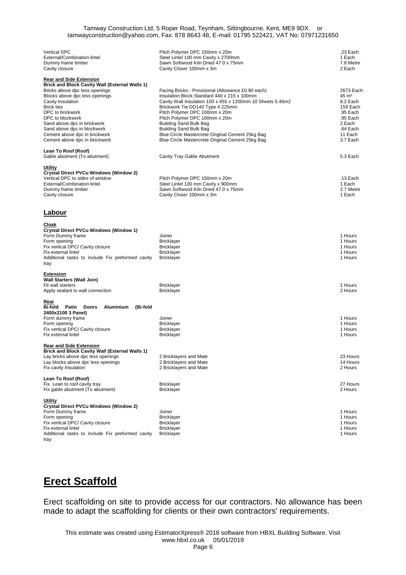| <b>Vertical DPC</b>                                                                     | Pitch Polymer DPC 150mm x 20m                                                                  | .23 Each             |
|-----------------------------------------------------------------------------------------|------------------------------------------------------------------------------------------------|----------------------|
| External/Combination lintel                                                             | Steel Lintel 100 mm Cavity x 2700mm<br>Sawn Softwood Kiln Dried 47.0 x 75mm                    | 1 Each               |
| Dummy frame timber<br>Cavity closure                                                    | Cavity Closer 100mm x 3m                                                                       | 7.8 Metre<br>2 Each  |
|                                                                                         |                                                                                                |                      |
| <b>Rear and Side Extension</b><br><b>Brick and Block Cavity Wall (External Walls 1)</b> |                                                                                                |                      |
| Bricks above dpc less openings                                                          | Facing Bricks - Provisional (Allowance £0.90 each)                                             | 2673 Each            |
| Blocks above dpc less openings                                                          | Insulation Block Standard 440 x 215 x 100mm                                                    | 45 m <sup>2</sup>    |
| Cavity Insulation<br><b>Brick ties</b>                                                  | Cavity Wall Insulation 100 x 455 x 1200mm 10 Sheets 5.46m2<br>Brickwork Tie DD140 Type 4 225mm | 8.2 Each<br>159 Each |
| DPC to brickwork                                                                        | Pitch Polymer DPC 100mm x 20m                                                                  | .95 Each             |
| DPC to blockwork                                                                        | Pitch Polymer DPC 100mm x 20m                                                                  | .95 Each             |
| Sand above dpc in brickwork<br>Sand above dpc in blockwork                              | Building Sand Bulk Bag<br><b>Building Sand Bulk Bag</b>                                        | 2 Each<br>.64 Each   |
| Cement above dpc in brickwork                                                           | Blue Circle Mastercrete Original Cement 25kg Bag                                               | 11 Each              |
| Cement above dpc in blockwork                                                           | Blue Circle Mastercrete Original Cement 25kg Bag                                               | 3.7 Each             |
| Lean To Roof (Roof)                                                                     |                                                                                                |                      |
| Gable abutment (To abutment)                                                            | Cavity Tray Gable Abutment                                                                     | 5.3 Each             |
| Utility                                                                                 |                                                                                                |                      |
| Crystal Direct PVCu Windows (Window 2)                                                  |                                                                                                |                      |
| Vertical DPC to sides of window<br>External/Combination lintel                          | Pitch Polymer DPC 150mm x 20m<br>Steel Lintel 100 mm Cavity x 900mm                            | .13 Each<br>1 Each   |
| Dummy frame timber                                                                      | Sawn Softwood Kiln Dried 47.0 x 75mm                                                           | 2.7 Metre            |
| Cavity closure                                                                          | Cavity Closer 100mm x 3m                                                                       | 1 Each               |
|                                                                                         |                                                                                                |                      |
| <b>Labour</b>                                                                           |                                                                                                |                      |
| <u>Cloak</u>                                                                            |                                                                                                |                      |
| Crystal Direct PVCu Windows (Window 1)<br>Form Dummy frame                              | Joiner                                                                                         | 1 Hours              |
| Form opening                                                                            | <b>Bricklayer</b>                                                                              | 1 Hours              |
| Fix vertical DPC/ Cavity closure                                                        | <b>Bricklayer</b>                                                                              | 1 Hours              |
| Fix external lintel                                                                     | <b>Bricklayer</b>                                                                              | 1 Hours<br>1 Hours   |
| Additional tasks to include Fix preformed cavity<br>tray                                | <b>Bricklayer</b>                                                                              |                      |
| <b>Extension</b>                                                                        |                                                                                                |                      |
| <b>Wall Starters (Wall Join)</b>                                                        |                                                                                                |                      |
| Fit wall starters                                                                       | <b>Bricklayer</b>                                                                              | 1 Hours<br>2 Hours   |
| Apply sealant to wall connection                                                        | <b>Bricklayer</b>                                                                              |                      |
| Rear<br>Bi-fold Patio<br><b>Doors</b><br>Aluminium<br>(Bi-fold                          |                                                                                                |                      |
| 2400x2100 3 Panel)                                                                      |                                                                                                |                      |
| Form dummy frame                                                                        | Joiner                                                                                         | 1 Hours              |
| Form opening<br>Fix vertical DPC/ Cavity closure                                        | <b>Bricklayer</b><br><b>Bricklayer</b>                                                         | 1 Hours<br>1 Hours   |
| Fix external lintel                                                                     | <b>Bricklayer</b>                                                                              | 1 Hours              |
| <b>Rear and Side Extension</b>                                                          |                                                                                                |                      |
| <b>Brick and Block Cavity Wall (External Walls 1)</b>                                   |                                                                                                |                      |
| Lay bricks above dpc less openings<br>Lay blocks above dpc less openings                | 2 Bricklayers and Mate<br>2 Bricklayers and Mate                                               | 23 Hours<br>14 Hours |
| Fix cavity Insulation                                                                   | 2 Bricklayers and Mate                                                                         | 2 Hours              |
| Lean To Roof (Roof)                                                                     |                                                                                                |                      |
| Fix Lean to roof cavity tray                                                            | <b>Bricklayer</b>                                                                              | 27 Hours             |
| Fix gable abutment (To abutment)                                                        | <b>Bricklayer</b>                                                                              | 2 Hours              |
| Utility                                                                                 |                                                                                                |                      |
| Crystal Direct PVCu Windows (Window 2)<br>Form Dummy frame                              | Joiner                                                                                         | 1 Hours              |
| Form opening                                                                            | <b>Bricklayer</b>                                                                              | 1 Hours              |
| Fix vertical DPC/ Cavity closure                                                        | <b>Bricklayer</b>                                                                              | 1 Hours              |
| Fix external lintel<br>Additional tasks to include Fix preformed cavity                 | <b>Bricklayer</b><br><b>Bricklayer</b>                                                         | 1 Hours<br>1 Hours   |
| tray                                                                                    |                                                                                                |                      |

## **Erect Scaffold**

Erect scaffolding on site to provide access for our contractors. No allowance has been made to adapt the scaffolding for clients or their own contractors' requirements.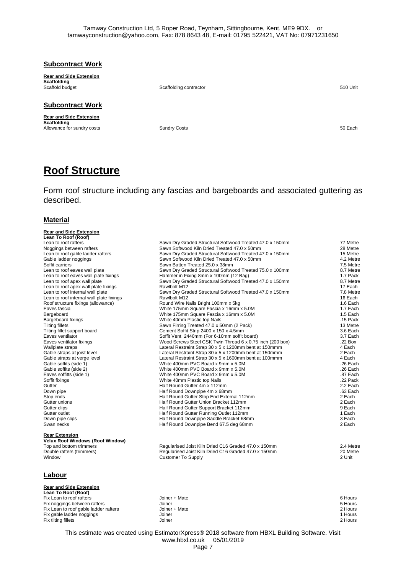|  | <b>Subcontract Work</b> |
|--|-------------------------|
|  |                         |

**Rear and Side Extension Scaffolding**<br>Scaffold budget

Scaffolding contractor 510 Unit

**Subcontract Work**

**Rear and Side Extension Scaffolding** Allowance for sundry costs **Sundry Costs** Sundry Costs **SUNDALLO SUNDALLO SUNDALLO SUNDALLO SUNDALLO SUNDALLO SUNDALLO SUNDALLO SUNDALLO SUNDALLO SUNDALLO SUNDALLO SUNDALLO SUNDALLO SUNDALLO SUNDALLO SUNDALLO SUNDALLO SUND** 

## **Roof Structure**

Form roof structure including any fascias and bargeboards and associated guttering as described.

#### **Material**

| <b>Rear and Side Extension</b><br>Lean To Roof (Roof)            |                                                           |           |
|------------------------------------------------------------------|-----------------------------------------------------------|-----------|
| Lean to roof rafters                                             | Sawn Dry Graded Structural Softwood Treated 47.0 x 150mm  | 77 Metre  |
| Noggings between rafters                                         | Sawn Softwood Kiln Dried Treated 47.0 x 50mm              | 28 Metre  |
| Lean to roof gable ladder rafters                                | Sawn Dry Graded Structural Softwood Treated 47.0 x 150mm  | 15 Metre  |
| Gable ladder noggings                                            | Sawn Softwood Kiln Dried Treated 47.0 x 50mm              | 4.2 Metre |
| Soffit carriers                                                  | Sawn Batten Treated 25.0 x 38mm                           | 7.5 Metre |
| Lean to roof eaves wall plate                                    | Sawn Dry Graded Structural Softwood Treated 75.0 x 100mm  | 8.7 Metre |
| Lean to roof eaves wall plate fixings                            | Hammer in Fixing 8mm x 100mm (12 Bag)                     | 1.7 Pack  |
| Lean to roof apex wall plate                                     | Sawn Dry Graded Structural Softwood Treated 47.0 x 150mm  | 8.7 Metre |
| Lean to roof apex wall plate fixings                             | Rawlbolt M12                                              | 17 Each   |
| Lean to roof internal wall plate                                 | Sawn Dry Graded Structural Softwood Treated 47.0 x 150mm  | 7.8 Metre |
| Lean to roof internal wall plate fixings                         | Rawlbolt M12                                              | 16 Each   |
| Roof structure fixings (allowance)                               | Round Wire Nails Bright 100mm x 5kg                       | 1.6 Each  |
| Eaves fascia                                                     | White 175mm Square Fascia x 16mm x 5.0M                   | 1.7 Each  |
| Bargeboard                                                       | White 175mm Square Fascia x 16mm x 5.0M                   | 1.5 Each  |
| Bargeboard fixings                                               | White 40mm Plastic top Nails                              | .15 Pack  |
| <b>Tilting fillets</b>                                           | Sawn Firring Treated 47.0 x 50mm (2 Pack)                 | 13 Metre  |
| Tilting fillet support board                                     | Cement Soffit Strip 2400 x 150 x 4.5mm                    | 3.6 Each  |
| Eaves ventilator                                                 | Soffit Vent 2440mm (For 6-10mm soffit board)              | 3.7 Each  |
| Eaves ventilator fixings                                         | Wood Screws Steel CSK Twin Thread 6 x 0.75 inch (200 box) | .22 Box   |
| Wallplate straps                                                 | Lateral Restraint Strap 30 x 5 x 1200mm bent at 150mmm    | 4 Each    |
| Gable straps at joist level                                      | Lateral Restraint Strap 30 x 5 x 1200mm bent at 150mmm    | 2 Each    |
| Gable straps at verge level                                      | Lateral Restraint Strap 30 x 5 x 1600mm bent at 100mmm    | 4 Each    |
| Gable soffits (side 1)                                           | White 400mm PVC Board x 9mm x 5.0M                        | .26 Each  |
| Gable soffits (side 2)                                           | White 400mm PVC Board x 9mm x 5.0M                        | .26 Each  |
| Eaves soffitts (side 1)                                          | White 400mm PVC Board x 9mm x 5.0M                        | .87 Each  |
| Soffit fixings                                                   | White 40mm Plastic top Nails                              | .22 Pack  |
| Gutter                                                           | Half Round Gutter 4m x 112mm                              | 2.2 Each  |
| Down pipe                                                        | Half Round Downpipe 4m x 68mm                             | .63 Each  |
| Stop ends                                                        | Half Round Gutter Stop End External 112mm                 | 2 Each    |
| Gutter unions                                                    | Half Round Gutter Union Bracket 112mm                     | 2 Each    |
| Gutter clips                                                     | Half Round Gutter Support Bracket 112mm                   | 9 Each    |
| Gutter outlet                                                    | Half Round Gutter Running Outlet 112mm                    | 1 Each    |
| Down pipe clips                                                  | Half Round Downpipe Saddle Bracket 68mm                   | 3 Each    |
| Swan necks                                                       | Half Round Downpipe Bend 67.5 deg 68mm                    | 2 Each    |
|                                                                  |                                                           |           |
| <b>Rear Extension</b><br><b>Velux Roof Windows (Roof Window)</b> |                                                           |           |
| Top and bottom trimmers                                          | Regularised Joist Kiln Dried C16 Graded 47.0 x 150mm      | 2.4 Metre |
| Double rafters (trimmers)                                        | Regularised Joist Kiln Dried C16 Graded 47.0 x 150mm      | 20 Metre  |
| Window                                                           | <b>Customer To Supply</b>                                 | 2 Unit    |
| Labour                                                           |                                                           |           |
|                                                                  |                                                           |           |
| <b>Rear and Side Extension</b>                                   |                                                           |           |
| Lean To Roof (Roof)                                              |                                                           |           |
| Fix Lean to roof rafters                                         | Joiner + Mate                                             | 6 Hours   |
| Fix noggings between rafters                                     | Joiner                                                    | 5 Hours   |
| Fix Lean to roof gable ladder rafters                            | Joiner + Mate                                             | 2 Hours   |
| Fix gable ladder noggings                                        | Joiner                                                    | 1 Hours   |
| Fix tilting fillets                                              | Joiner                                                    | 2 Hours   |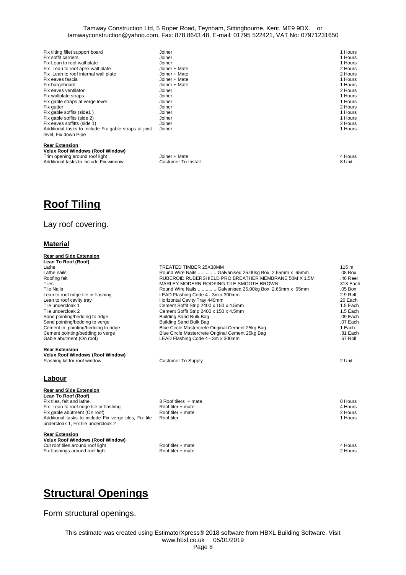| Fix tilting fillet support board                      | Joiner        | 1 Hours     |
|-------------------------------------------------------|---------------|-------------|
| Fix soffit carriers                                   | Joiner        | 1 Hours     |
| Fix Lean to roof wall plate                           | Joiner        | 1 Hours     |
| Fix Lean to roof apex wall plate                      | Joiner + Mate | 2 Hours     |
| Fix Lean to roof internal wall plate                  | Joiner + Mate | 2 Hours     |
| Fix eaves fascia                                      | Joiner + Mate | 1 Hours     |
| Fix bargeboard                                        | Joiner + Mate | 1 Hours     |
| Fix eaves ventilator                                  | Joiner        | 2 Hours     |
| Fix wallplate straps                                  | Joiner        | 1 Hours     |
| Fix gable straps at verge level                       | Joiner        | 1 Hours     |
| Fix gutter                                            | Joiner        | 2 Hours     |
| Fix gable soffits (side1)                             | Joiner        | 1 Hours     |
| Fix gable soffits (side 2)                            | Joiner        | 1 Hours     |
| Fix eaves soffitts (side 1)                           | Joiner        | 2 Hours     |
| Additional tasks to include Fix gable straps at joist | Joiner        | 1 Hours     |
| level, Fix down Pipe                                  |               |             |
| <b>Rear Extension</b>                                 |               |             |
| <b>Velux Roof Windows (Roof Window)</b>               |               |             |
| Trim anoning around roof light.                       | Joines : Moto | $4 + 1 - 1$ |

| Velux Roof Windows (Roof Window)       |                     |         |  |
|----------------------------------------|---------------------|---------|--|
| Trim opening around roof light         | Joiner + Mate       | 4 Hours |  |
| Additional tasks to include Fix window | Customer To Install | 8 Unit  |  |
|                                        |                     |         |  |

## **Roof Tiling**

### Lay roof covering.

### **Material**

| <b>Rear and Side Extension</b>                        |                                                        |                  |
|-------------------------------------------------------|--------------------------------------------------------|------------------|
| Lean To Roof (Roof)                                   |                                                        |                  |
| Lathe                                                 | TREATED TIMBER 25X38MM                                 | 115 <sub>m</sub> |
| Lathe nails                                           | Round Wire Nails  Galvanised 25.00kg Box 2.65mm x 65mm | .08 Box          |
| Roofing felt                                          | RUBEROID RUBERSHIELD PRO BREATHER MEMBRANE 50M X 1.5M  | .46 Reel         |
| <b>Tiles</b>                                          | MARLEY MODERN ROOFING TILE SMOOTH BROWN                | 313 Each         |
| <b>Tile Nails</b>                                     | Round Wire Nails  Galvanised 25.00kg Box 2.65mm x 65mm | $.05$ Box        |
| Lean to roof ridge tile or flashing                   | LEAD Flashing Code 4 - 3m x 300mm                      | 2.9 Roll         |
| Lean to roof cavity tray                              | Horizontal Cavity Tray 440mm                           | 20 Each          |
| Tile undercloak 1                                     | Cement Soffit Strip 2400 x 150 x 4.5mm                 | 1.5 Each         |
| Tile undercloak 2                                     | Cement Soffit Strip 2400 x 150 x 4.5mm                 | 1.5 Each         |
| Sand pointing/bedding to ridge                        | Building Sand Bulk Bag                                 | .09 Each         |
| Sand pointing/bedding to verge                        | <b>Building Sand Bulk Bag</b>                          | .07 Each         |
| Cement in pointing/bedding to ridge                   | Blue Circle Mastercrete Original Cement 25kg Bag       | 1 Each           |
| Cement pointing/bedding to verge                      | Blue Circle Mastercrete Original Cement 25kg Bag       | .81 Each         |
| Gable abutment (On roof)                              | LEAD Flashing Code 4 - 3m x 300mm                      | .67 Roll         |
| <b>Rear Extension</b>                                 |                                                        |                  |
| <b>Velux Roof Windows (Roof Window)</b>               |                                                        |                  |
| Flashing kit for roof window                          | <b>Customer To Supply</b>                              | 2 Unit           |
|                                                       |                                                        |                  |
| Labour                                                |                                                        |                  |
| <b>Rear and Side Extension</b>                        |                                                        |                  |
| Lean To Roof (Roof)                                   |                                                        |                  |
| Fix tiles, felt and lathe.                            | 3 Roof tilers + mate                                   | 8 Hours          |
| Fix Lean to roof ridge tile or flashing               | Roof tiler + mate                                      | 4 Hours          |
| Fix gable abutment (On roof)                          | Roof tiler + mate                                      | 2 Hours          |
| Additional tasks to include Fix verge tiles, Fix tile | Roof tiler                                             | 1 Hours          |
| undercloak 1, Fix tile undercloak 2                   |                                                        |                  |
| <b>Rear Extension</b>                                 |                                                        |                  |
| <b>Velux Roof Windows (Roof Window)</b>               |                                                        |                  |
| Cut roof tiles around roof light                      | Roof tiler + mate                                      | 4 Hours          |
| Fix flashings around roof light                       | Roof tiler + mate                                      | 2 Hours          |

## **Structural Openings**

Form structural openings.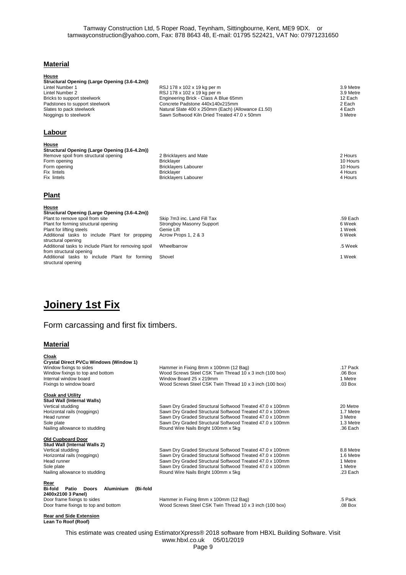### **Material**

| House                                         |                                                    |           |
|-----------------------------------------------|----------------------------------------------------|-----------|
| Structural Opening (Large Opening (3.6-4.2m)) |                                                    |           |
| Lintel Number 1                               | RSJ 178 x 102 x 19 kg per m                        | 3.9 Metre |
| Lintel Number 2                               | RSJ 178 x 102 x 19 kg per m                        | 3.9 Metre |
| Bricks to support steelwork                   | Engineering Brick - Class A Blue 65mm              | 12 Each   |
| Padstones to support steelwork                | Concrete Padstone 440x140x215mm                    | 2 Each    |
| Slates to pack steelwork                      | Natural Slate 400 x 250mm (Each) (Allowance £1.50) | 4 Each    |
| Noggings to steelwork                         | Sawn Softwood Kiln Dried Treated 47.0 x 50mm       | 3 Metre   |
| Labour                                        |                                                    |           |
|                                               |                                                    |           |
| House                                         |                                                    |           |
| Structural Opening (Large Opening (3.6-4.2m)) |                                                    |           |
| Remove spoil from structural opening          | 2 Bricklayers and Mate                             | 2 Hours   |
| Form opening                                  | <b>Bricklayer</b>                                  | 10 Hours  |
| Form opening                                  | <b>Bricklayers Labourer</b>                        | 10 Hours  |
| Fix lintels                                   | <b>Bricklayer</b>                                  | 4 Hours   |
| Fix lintels                                   | <b>Bricklayers Labourer</b>                        | 4 Hours   |
|                                               |                                                    |           |
|                                               |                                                    |           |
| <b>Plant</b>                                  |                                                    |           |

| House<br>Structural Opening (Large Opening (3.6-4.2m)) |                                  |          |
|--------------------------------------------------------|----------------------------------|----------|
| Plant to remove spoil from site                        | Skip 7m3 inc. Land Fill Tax      | .59 Each |
| Plant for forming structural opening                   | <b>Strongboy Masonry Support</b> | 6 Week   |
| Plant for lifting steels                               | Genie Lift                       | 1 Week   |
| Additional tasks to include Plant for propping         | Acrow Props 1, 2 & 3             | 6 Week   |
| structural opening                                     |                                  |          |
| Additional tasks to include Plant for removing spoil   | Wheelbarrow                      | .5 Week  |
| from structural opening                                |                                  |          |
| Additional tasks to include Plant for forming          | Shovel                           | 1 Week   |
| structural opening                                     |                                  |          |

# **Joinery 1st Fix**

## Form carcassing and first fix timbers.

#### **Material**

**Lean To Roof (Roof)**

**Cloak**

| Crystal Direct PVCu Windows (Window 1)<br>Window fixings to sides        | Hammer in Fixing 8mm x 100mm (12 Bag)                                                           | .17 Pack              |
|--------------------------------------------------------------------------|-------------------------------------------------------------------------------------------------|-----------------------|
| Window fixings to top and bottom                                         | Wood Screws Steel CSK Twin Thread 10 x 3 inch (100 box)                                         | $.06$ Box             |
| Internal window board                                                    | Window Board 25 x 219mm                                                                         | 1 Metre               |
| Fixings to window board                                                  | Wood Screws Steel CSK Twin Thread 10 x 3 inch (100 box)                                         | .03 Box               |
| <b>Cloak and Utility</b>                                                 |                                                                                                 |                       |
| <b>Stud Wall (Internal Walls)</b>                                        |                                                                                                 |                       |
| Vertical studding                                                        | Sawn Dry Graded Structural Softwood Treated 47.0 x 100mm                                        | 20 Metre              |
| Horizontal rails (noggings)                                              | Sawn Dry Graded Structural Softwood Treated 47.0 x 100mm                                        | 1.7 Metre             |
| Head runner                                                              | Sawn Dry Graded Structural Softwood Treated 47.0 x 100mm                                        | 3 Metre               |
| Sole plate<br>Nailing allowance to studding                              | Sawn Dry Graded Structural Softwood Treated 47.0 x 100mm<br>Round Wire Nails Bright 100mm x 5kg | 1.3 Metre<br>.36 Each |
|                                                                          |                                                                                                 |                       |
| <b>Old Cupboard Door</b><br>Stud Wall (Internal Walls 2)                 |                                                                                                 |                       |
| Vertical studding                                                        | Sawn Dry Graded Structural Softwood Treated 47.0 x 100mm                                        | 8.8 Metre             |
| Horizontal rails (noggings)                                              | Sawn Dry Graded Structural Softwood Treated 47.0 x 100mm                                        | 1.6 Metre             |
| Head runner                                                              | Sawn Dry Graded Structural Softwood Treated 47.0 x 100mm                                        | 1 Metre               |
| Sole plate                                                               | Sawn Dry Graded Structural Softwood Treated 47.0 x 100mm                                        | 1 Metre               |
| Nailing allowance to studding                                            | Round Wire Nails Bright 100mm x 5kg                                                             | $.23$ Each            |
|                                                                          |                                                                                                 |                       |
| Rear<br>Bi-fold<br>(Bi-fold<br>Patio<br><b>Doors</b><br><b>Aluminium</b> |                                                                                                 |                       |
| 2400x2100 3 Panel)                                                       |                                                                                                 |                       |
| Door frame fixings to sides                                              | Hammer in Fixing 8mm x 100mm (12 Bag)                                                           | .5 Pack               |
| Door frame fixings to top and bottom                                     | Wood Screws Steel CSK Twin Thread 10 x 3 inch (100 box)                                         | $.08$ Box             |
|                                                                          |                                                                                                 |                       |
| <b>Rear and Side Extension</b>                                           |                                                                                                 |                       |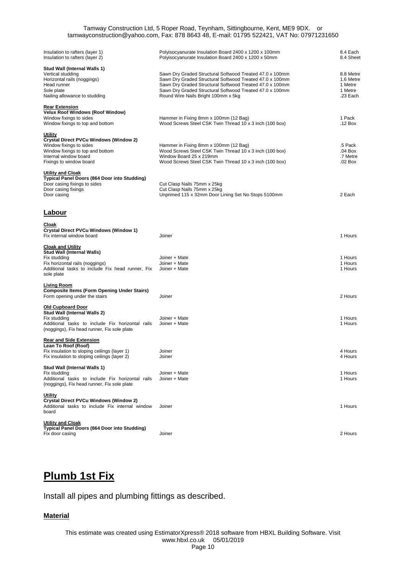| Insulation to rafters (layer 1)<br>Insulation to rafters (layer 2)                                                                                                          | Polyisocyanurate Insulation Board 2400 x 1200 x 100mm<br>Polyisocyanurate Insulation Board 2400 x 1200 x 50mm                                                                                                                                                                       | 8.4 Each<br>8.4 Sheet                                    |
|-----------------------------------------------------------------------------------------------------------------------------------------------------------------------------|-------------------------------------------------------------------------------------------------------------------------------------------------------------------------------------------------------------------------------------------------------------------------------------|----------------------------------------------------------|
| Stud Wall (Internal Walls 1)<br>Vertical studding<br>Horizontal rails (noggings)<br>Head runner<br>Sole plate<br>Nailing allowance to studding                              | Sawn Dry Graded Structural Softwood Treated 47.0 x 100mm<br>Sawn Dry Graded Structural Softwood Treated 47.0 x 100mm<br>Sawn Dry Graded Structural Softwood Treated 47.0 x 100mm<br>Sawn Dry Graded Structural Softwood Treated 47.0 x 100mm<br>Round Wire Nails Bright 100mm x 5kg | 8.8 Metre<br>1.6 Metre<br>1 Metre<br>1 Metre<br>.23 Each |
| <b>Rear Extension</b><br>Velux Roof Windows (Roof Window)<br>Window fixings to sides<br>Window fixings to top and bottom                                                    | Hammer in Fixing 8mm x 100mm (12 Bag)<br>Wood Screws Steel CSK Twin Thread 10 x 3 inch (100 box)                                                                                                                                                                                    | 1 Pack<br>.12 Box                                        |
| Utility<br>Crystal Direct PVCu Windows (Window 2)<br>Window fixings to sides<br>Window fixings to top and bottom<br>Internal window board<br>Fixings to window board        | Hammer in Fixing 8mm x 100mm (12 Bag)<br>Wood Screws Steel CSK Twin Thread 10 x 3 inch (100 box)<br>Window Board 25 x 219mm<br>Wood Screws Steel CSK Twin Thread 10 x 3 inch (100 box)                                                                                              | .5 Pack<br>.04 Box<br>.7 Metre<br>.02 Box                |
| <b>Utility and Cloak</b><br>Typical Panel Doors (864 Door into Studding)<br>Door casing fixings to sides<br>Door casing fixings<br>Door casing                              | Cut Clasp Nails 75mm x 25kg<br>Cut Clasp Nails 75mm x 25kg<br>Unprimed 115 x 32mm Door Lining Set No Stops 5100mm                                                                                                                                                                   | 2 Each                                                   |
| <b>Labour</b>                                                                                                                                                               |                                                                                                                                                                                                                                                                                     |                                                          |
| <u>Cloak</u><br>Crystal Direct PVCu Windows (Window 1)<br>Fix internal window board                                                                                         | Joiner                                                                                                                                                                                                                                                                              | 1 Hours                                                  |
| <b>Cloak and Utility</b><br>Stud Wall (Internal Walls)<br>Fix studding<br>Fix horizontal rails (noggings)<br>Additional tasks to include Fix head runner, Fix<br>sole plate | Joiner + Mate<br>Joiner + Mate<br>Joiner + Mate                                                                                                                                                                                                                                     | 1 Hours<br>1 Hours<br>1 Hours                            |
| Living Room<br><b>Composite Items (Form Opening Under Stairs)</b><br>Form opening under the stairs                                                                          | Joiner                                                                                                                                                                                                                                                                              | 2 Hours                                                  |
| <b>Old Cupboard Door</b><br>Stud Wall (Internal Walls 2)<br>Fix studding<br>Additional tasks to include Fix horizontal rails<br>(noggings), Fix head runner, Fix sole plate | Joiner + Mate<br>Joiner + Mate                                                                                                                                                                                                                                                      | 1 Hours<br>1 Hours                                       |
| <b>Rear and Side Extension</b><br>Lean To Roof (Roof)<br>Fix insulation to sloping ceilings (layer 1)<br>Fix insulation to sloping ceilings (layer 2)                       | Joiner<br>Joiner                                                                                                                                                                                                                                                                    | 4 Hours<br>4 Hours                                       |
| Stud Wall (Internal Walls 1)<br>Fix studding<br>Additional tasks to include Fix horizontal rails<br>(noggings), Fix head runner, Fix sole plate                             | Joiner + Mate<br>Joiner + Mate                                                                                                                                                                                                                                                      | 1 Hours<br>1 Hours                                       |
| Utility<br><b>Crystal Direct PVCu Windows (Window 2)</b><br>Additional tasks to include Fix internal window<br>board                                                        | Joiner                                                                                                                                                                                                                                                                              | 1 Hours                                                  |
| <b>Utility and Cloak</b><br>Typical Panel Doors (864 Door into Studding)<br>Fix door casing                                                                                 | Joiner                                                                                                                                                                                                                                                                              | 2 Hours                                                  |

# **Plumb 1st Fix**

Install all pipes and plumbing fittings as described.

### **Material**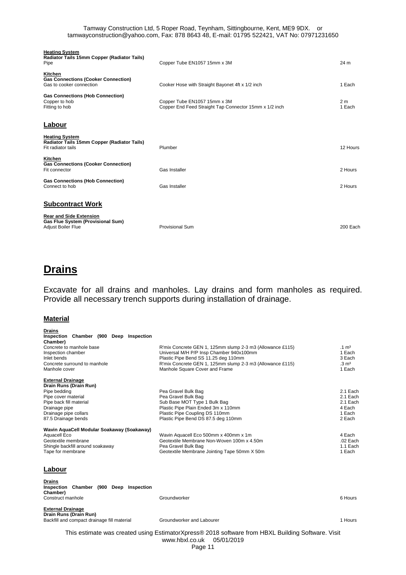| <b>Heating System</b><br>Radiator Tails 15mm Copper (Radiator Tails)<br>Pipe                     | Copper Tube EN1057 15mm x 3M                                                           | 24 m                     |
|--------------------------------------------------------------------------------------------------|----------------------------------------------------------------------------------------|--------------------------|
| Kitchen<br><b>Gas Connections (Cooker Connection)</b><br>Gas to cooker connection                | Cooker Hose with Straight Bayonet 4ft x 1/2 inch                                       | 1 Each                   |
| <b>Gas Connections (Hob Connection)</b><br>Copper to hob<br>Fitting to hob                       | Copper Tube EN1057 15mm x 3M<br>Copper End Feed Straight Tap Connector 15mm x 1/2 inch | 2 <sub>m</sub><br>1 Each |
| Labour                                                                                           |                                                                                        |                          |
| <b>Heating System</b><br>Radiator Tails 15mm Copper (Radiator Tails)<br>Fit radiator tails       | Plumber                                                                                | 12 Hours                 |
| Kitchen<br><b>Gas Connections (Cooker Connection)</b><br>Fit connector                           | Gas Installer                                                                          | 2 Hours                  |
| <b>Gas Connections (Hob Connection)</b><br>Connect to hob                                        | Gas Installer                                                                          | 2 Hours                  |
| <b>Subcontract Work</b>                                                                          |                                                                                        |                          |
| <b>Rear and Side Extension</b><br>Gas Flue System (Provisional Sum)<br><b>Adjust Boiler Flue</b> | Provisional Sum                                                                        | 200 Each                 |

## **Drains**

Excavate for all drains and manholes. Lay drains and form manholes as required. Provide all necessary trench supports during installation of drainage.

#### **Material**

| <b>Drains</b><br>Chamber (900 Deep Inspection<br>Inspection<br>Chamber)<br>Concrete to manhole base<br>Inspection chamber<br>Inlet bends<br>Concrete surround to manhole<br>Manhole cover | R'mix Concrete GEN 1, 125mm slump 2-3 m3 (Allowance £115)<br>Universal M/H P/P Insp Chamber 940x100mm<br>Plastic Pipe Bend SS 11.25 deg 110mm<br>R'mix Concrete GEN 1, 125mm slump 2-3 m3 (Allowance £115)<br>Manhole Square Cover and Frame | $.1 \text{ m}^3$<br>1 Each<br>3 Each<br>$.3 \text{ m}^3$<br>1 Each |
|-------------------------------------------------------------------------------------------------------------------------------------------------------------------------------------------|----------------------------------------------------------------------------------------------------------------------------------------------------------------------------------------------------------------------------------------------|--------------------------------------------------------------------|
| <b>External Drainage</b><br>Drain Runs (Drain Run)<br>Pipe bedding<br>Pipe cover material<br>Pipe back fill material<br>Drainage pipe<br>Drainage pipe collars<br>87.5 Drainage bends     | Pea Gravel Bulk Bag<br>Pea Gravel Bulk Bag<br>Sub Base MOT Type 1 Bulk Bag<br>Plastic Pipe Plain Ended 3m x 110mm<br>Plastic Pipe Coupling DS 110mm<br>Plastic Pipe Bend DS 87.5 deg 110mm                                                   | 2.1 Each<br>2.1 Each<br>2.1 Each<br>4 Each<br>1 Each<br>2 Each     |
| Wavin AguaCell Modular Soakaway (Soakaway)<br>Aquacell Eco<br>Geotextile membrane<br>Shingle backfill around soakaway<br>Tape for membrane                                                | Wavin Aquacell Eco 500mm x 400mm x 1m<br>Geotextile Membrane Non-Woven 100m x 4.50m<br>Pea Gravel Bulk Bag<br>Geotextile Membrane Jointing Tape 50mm X 50m                                                                                   | 4 Each<br>$.02$ Each<br>1.1 Each<br>1 Each                         |

#### **Labour**

| <b>Drains</b><br>Inspection Chamber (900 Deep Inspection<br>Chamber) |  |  |              |         |
|----------------------------------------------------------------------|--|--|--------------|---------|
| Construct manhole                                                    |  |  | Groundworker | 6 Hours |

**External Drainage Drain Runs (Drain Run)** Backfill and compact drainage fill material **Groundworker and Labourer** 1 Hours 1 Hours 1 Hours 1 Hours 1 Hours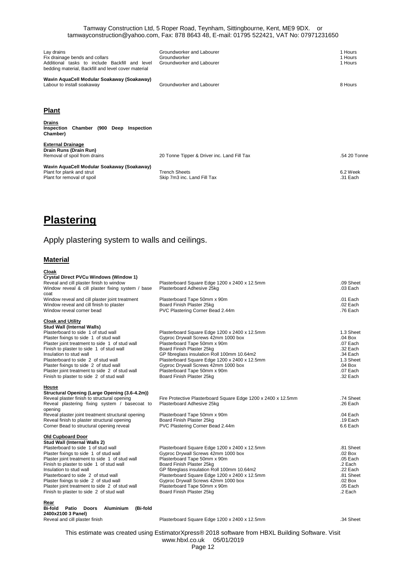| Lay drains<br>Fix drainage bends and collars<br>Additional tasks to include Backfill and level<br>bedding material, Backfill and level cover material | Groundworker and Labourer<br>Groundworker<br>Groundworker and Labourer | 1 Hours<br>1 Hours<br>1 Hours |
|-------------------------------------------------------------------------------------------------------------------------------------------------------|------------------------------------------------------------------------|-------------------------------|
| Wavin AquaCell Modular Soakaway (Soakaway)<br>Labour to install soakaway                                                                              | Groundworker and Labourer                                              | 8 Hours                       |
| <b>Plant</b>                                                                                                                                          |                                                                        |                               |
| <b>Drains</b><br>(900 Deep<br>Chamber<br>Inspection<br>Inspection<br>Chamber)                                                                         |                                                                        |                               |
| <b>External Drainage</b><br>Drain Runs (Drain Run)<br>Removal of spoil from drains                                                                    | 20 Tonne Tipper & Driver inc. Land Fill Tax                            | .54 20 Tonne                  |
| Wavin AquaCell Modular Soakaway (Soakaway)<br>Plant for plank and strut<br>Plant for removal of spoil                                                 | <b>Trench Sheets</b><br>Skip 7m3 inc. Land Fill Tax                    | 6.2 Week<br>.31 Each          |

## **Plastering**

### Apply plastering system to walls and ceilings.

#### **Material**

| Cloak<br><b>Crystal Direct PVCu Windows (Window 1)</b>                                     |                                                                                      |                        |
|--------------------------------------------------------------------------------------------|--------------------------------------------------------------------------------------|------------------------|
| Reveal and cill plaster finish to window                                                   | Plasterboard Square Edge 1200 x 2400 x 12.5mm                                        | .09 Sheet              |
| Window reveal & cill plaster fixing system / base                                          | Plasterboard Adhesive 25kg                                                           | .03 Each               |
| coat                                                                                       |                                                                                      |                        |
| Window reveal and cill plaster joint treatment                                             | Plasterboard Tape 50mm x 90m                                                         | $.01$ Each             |
| Window reveal and cill finish to plaster                                                   | Board Finish Plaster 25kg                                                            | .02 Each               |
| Window reveal corner bead                                                                  | PVC Plastering Corner Bead 2.44m                                                     | .76 Each               |
| <b>Cloak and Utility</b>                                                                   |                                                                                      |                        |
| <b>Stud Wall (Internal Walls)</b>                                                          |                                                                                      |                        |
| Plasterboard to side 1 of stud wall                                                        | Plasterboard Square Edge 1200 x 2400 x 12.5mm                                        | 1.3 Sheet              |
| Plaster fixings to side 1 of stud wall                                                     | Gyproc Drywall Screws 42mm 1000 box                                                  | $.04$ Box              |
| Plaster joint treatment to side 1 of stud wall                                             | Plasterboard Tape 50mm x 90m                                                         | .07 Each               |
| Finish to plaster to side 1 of stud wall                                                   | Board Finish Plaster 25kg                                                            | .32 Each               |
| Insulation to stud wall                                                                    | GP fibreglass insulation Roll 100mm 10.64m2                                          | .34 Each               |
| Plasterboard to side 2 of stud wall                                                        | Plasterboard Square Edge 1200 x 2400 x 12.5mm                                        | 1.3 Sheet              |
| Plaster fixings to side 2 of stud wall                                                     | Gyproc Drywall Screws 42mm 1000 box                                                  | .04 Box<br>.07 Each    |
| Plaster joint treatment to side 2 of stud wall<br>Finish to plaster to side 2 of stud wall | Plasterboard Tape 50mm x 90m<br>Board Finish Plaster 25kg                            | .32 Each               |
|                                                                                            |                                                                                      |                        |
| House                                                                                      |                                                                                      |                        |
| Structural Opening (Large Opening (3.6-4.2m))                                              |                                                                                      |                        |
| Reveal plaster finish to structural opening                                                | Fire Protective Plasterboard Square Edge 1200 x 2400 x 12.5mm                        | .74 Sheet              |
| Reveal plastering fixing system / basecoat to                                              | Plasterboard Adhesive 25kg                                                           | .26 Each               |
| opening                                                                                    |                                                                                      |                        |
| Reveal plaster joint treatment structural opening                                          | Plasterboard Tape 50mm x 90m                                                         | .04 Each<br>$.19$ Each |
| Reveal finish to plaster structural opening                                                | Board Finish Plaster 25kg                                                            | 6.6 Each               |
| Corner Bead to structural opening reveal                                                   | PVC Plastering Corner Bead 2.44m                                                     |                        |
| <b>Old Cupboard Door</b>                                                                   |                                                                                      |                        |
| Stud Wall (Internal Walls 2)                                                               |                                                                                      |                        |
| Plasterboard to side 1 of stud wall                                                        | Plasterboard Square Edge 1200 x 2400 x 12.5mm                                        | .81 Sheet              |
| Plaster fixings to side 1 of stud wall                                                     | Gyproc Drywall Screws 42mm 1000 box                                                  | .02 Box                |
| Plaster joint treatment to side 1 of stud wall                                             | Plasterboard Tape 50mm x 90m                                                         | .05 Each               |
| Finish to plaster to side 1 of stud wall                                                   | Board Finish Plaster 25kg                                                            | .2 Each<br>.22 Each    |
| Insulation to stud wall<br>Plasterboard to side 2 of stud wall                             | GP fibreglass insulation Roll 100mm 10.64m2                                          | .81 Sheet              |
| Plaster fixings to side 2 of stud wall                                                     | Plasterboard Square Edge 1200 x 2400 x 12.5mm<br>Gyproc Drywall Screws 42mm 1000 box | $.02$ Box              |
| Plaster joint treatment to side 2 of stud wall                                             | Plasterboard Tape 50mm x 90m                                                         | $.05$ Each             |
| Finish to plaster to side 2 of stud wall                                                   | Board Finish Plaster 25kg                                                            | .2 Each                |
|                                                                                            |                                                                                      |                        |
| Rear<br>Difeld Dette Desse Aluminium (Difeld                                               |                                                                                      |                        |

**Bi-fold Patio Doors Aluminium (Bi-fold 2400x2100 3 Panel)**

Plasterboard Square Edge 1200 x 2400 x 12.5mm .34 Sheet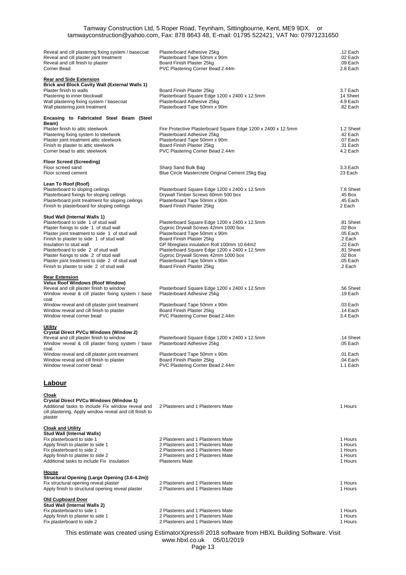| Reveal and cill plastering fixing system / basecoat<br>Reveal and cill plaster joint treatment<br>Reveal and cill finish to plaster<br>Corner Bead                                                                                                                                                                                                                                                                    | Plasterboard Adhesive 25kg<br>Plasterboard Tape 50mm x 90m<br>Board Finish Plaster 25kg<br>PVC Plastering Corner Bead 2.44m                                                                                                                                                                                                                           | .12 Each<br>.02 Each<br>.09 Each<br>2.8 Each                                                           |
|-----------------------------------------------------------------------------------------------------------------------------------------------------------------------------------------------------------------------------------------------------------------------------------------------------------------------------------------------------------------------------------------------------------------------|-------------------------------------------------------------------------------------------------------------------------------------------------------------------------------------------------------------------------------------------------------------------------------------------------------------------------------------------------------|--------------------------------------------------------------------------------------------------------|
| <b>Rear and Side Extension</b><br><b>Brick and Block Cavity Wall (External Walls 1)</b><br>Plaster finish to walls<br>Plastering to inner blockwall<br>Wall plastering fixing system / basecoat<br>Wall plastering joint treatment                                                                                                                                                                                    | Board Finish Plaster 25kg<br>Plasterboard Square Edge 1200 x 2400 x 12.5mm<br>Plasterboard Adhesive 25kg<br>Plasterboard Tape 50mm x 90m                                                                                                                                                                                                              | 3.7 Each<br>14 Sheet<br>4.9 Each<br>.82 Each                                                           |
| Encasing to Fabricated Steel Beam (Steel<br>Beam)<br>Plaster finish to attic steelwork<br>Plastering fixing system to steelwork<br>Plaster joint treatment attic steelwork<br>Finish to plaster to attic steelwork<br>Corner bead to attic steelwork                                                                                                                                                                  | Fire Protective Plasterboard Square Edge 1200 x 2400 x 12.5mm<br>Plasterboard Adhesive 25kg<br>Plasterboard Tape 50mm x 90m<br>Board Finish Plaster 25kg<br>PVC Plastering Corner Bead 2.44m                                                                                                                                                          | 1.2 Sheet<br>.42 Each<br>.07 Each<br>.31 Each<br>4.2 Each                                              |
| <b>Floor Screed (Screeding)</b><br>Floor screed sand<br>Floor screed cement                                                                                                                                                                                                                                                                                                                                           | Sharp Sand Bulk Bag<br>Blue Circle Mastercrete Original Cement 25kg Bag                                                                                                                                                                                                                                                                               | 3.3 Each<br>23 Each                                                                                    |
| Lean To Roof (Roof)<br>Plasterboard to sloping ceilings<br>Plasterboard fixings for sloping ceilings<br>Plasterboard joint treatment for sloping ceilings<br>Finish to plasterboard for sloping ceilings                                                                                                                                                                                                              | Plasterboard Square Edge 1200 x 2400 x 12.5mm<br>Drywall Timber Screws 60mm 500 box<br>Plasterboard Tape 50mm x 90m<br>Board Finish Plaster 25kg                                                                                                                                                                                                      | 7.8 Sheet<br>.45 Box<br>.45 Each<br>2 Each                                                             |
| Stud Wall (Internal Walls 1)<br>Plasterboard to side 1 of stud wall<br>Plaster fixings to side 1 of stud wall<br>Plaster joint treatment to side 1 of stud wall<br>Finish to plaster to side 1 of stud wall<br>Insulation to stud wall<br>Plasterboard to side 2 of stud wall<br>Plaster fixings to side 2 of stud wall<br>Plaster joint treatment to side 2 of stud wall<br>Finish to plaster to side 2 of stud wall | Plasterboard Square Edge 1200 x 2400 x 12.5mm<br>Gyproc Drywall Screws 42mm 1000 box<br>Plasterboard Tape 50mm x 90m<br>Board Finish Plaster 25kg<br>GP fibreglass insulation Roll 100mm 10.64m2<br>Plasterboard Square Edge 1200 x 2400 x 12.5mm<br>Gyproc Drywall Screws 42mm 1000 box<br>Plasterboard Tape 50mm x 90m<br>Board Finish Plaster 25kg | .81 Sheet<br>.02 Box<br>.05 Each<br>.2 Each<br>.22 Each<br>.81 Sheet<br>.02 Box<br>.05 Each<br>.2 Each |
| <b>Rear Extension</b><br><b>Velux Roof Windows (Roof Window)</b><br>Reveal and cill plaster finish to window<br>Window reveal & cill plaster fixing system / base                                                                                                                                                                                                                                                     | Plasterboard Square Edge 1200 x 2400 x 12.5mm<br>Plasterboard Adhesive 25kg                                                                                                                                                                                                                                                                           | .56 Sheet<br>.19 Each                                                                                  |
| coat<br>Window reveal and cill plaster joint treatment<br>Window reveal and cill finish to plaster<br>Window reveal corner bead                                                                                                                                                                                                                                                                                       | Plasterboard Tape 50mm x 90m<br>Board Finish Plaster 25kg<br>PVC Plastering Corner Bead 2.44m                                                                                                                                                                                                                                                         | .03 Each<br>$.14$ Each<br>3.4 Each                                                                     |
| <b>Utility</b><br><b>Crystal Direct PVCu Windows (Window 2)</b><br>Reveal and cill plaster finish to window<br>Window reveal & cill plaster fixing system / base                                                                                                                                                                                                                                                      | Plasterboard Square Edge 1200 x 2400 x 12.5mm<br>Plasterboard Adhesive 25kg                                                                                                                                                                                                                                                                           | :14 Shee<br>.05 Each                                                                                   |
| coat<br>Window reveal and cill plaster joint treatment<br>Window reveal and cill finish to plaster<br>Window reveal corner bead                                                                                                                                                                                                                                                                                       | Plasterboard Tape 50mm x 90m<br>Board Finish Plaster 25kg<br>PVC Plastering Corner Bead 2.44m                                                                                                                                                                                                                                                         | .01 Each<br>.04 Each<br>1.1 Each                                                                       |
| <b>Labour</b>                                                                                                                                                                                                                                                                                                                                                                                                         |                                                                                                                                                                                                                                                                                                                                                       |                                                                                                        |
| Cloak<br>Crystal Direct PVCu Windows (Window 1)<br>Additional tasks to include Fix window reveal and<br>cill plastering, Apply window reveal and cill finish to<br>plaster                                                                                                                                                                                                                                            | 2 Plasterers and 1 Plasterers Mate                                                                                                                                                                                                                                                                                                                    | 1 Hours                                                                                                |
| <b>Cloak and Utility</b><br><b>Stud Wall (Internal Walls)</b><br>Fix plasterboard to side 1<br>Apply finish to plaster to side 1<br>Fix plasterboard to side 2<br>Apply finish to plaster to side 2<br>Additional tasks to include Fix insulation                                                                                                                                                                     | 2 Plasterers and 1 Plasterers Mate<br>2 Plasterers and 1 Plasterers Mate<br>2 Plasterers and 1 Plasterers Mate<br>2 Plasterers and 1 Plasterers Mate<br><b>Plasterers Mate</b>                                                                                                                                                                        | 1 Hours<br>1 Hours<br>1 Hours<br>1 Hours<br>1 Hours                                                    |
| House<br>Structural Opening (Large Opening (3.6-4.2m))<br>Fix structural opening reveal plaster<br>Apply finish to structural opening reveal plaster                                                                                                                                                                                                                                                                  | 2 Plasterers and 1 Plasterers Mate<br>2 Plasterers and 1 Plasterers Mate                                                                                                                                                                                                                                                                              | 1 Hours<br>1 Hours                                                                                     |
| <b>Old Cupboard Door</b><br>Stud Wall (Internal Walls 2)<br>Fix plasterboard to side 1<br>Apply finish to plaster to side 1<br>Fix plasterboard to side 2                                                                                                                                                                                                                                                             | 2 Plasterers and 1 Plasterers Mate<br>2 Plasterers and 1 Plasterers Mate<br>2 Plasterers and 1 Plasterers Mate<br>This astimate was created using Estimator Yorgssen 2018 software from HRYL Ruilding Software Visit                                                                                                                                  | 1 Hours<br>1 Hours<br>1 Hours                                                                          |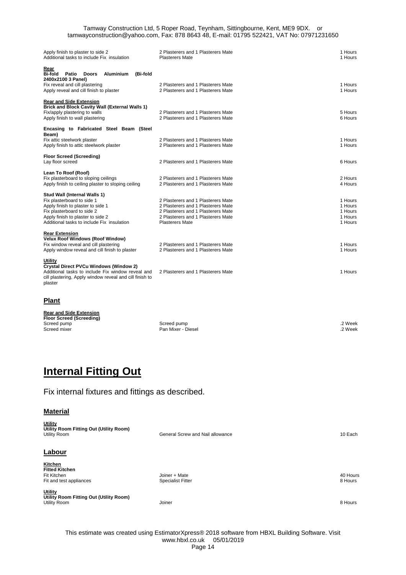| Apply finish to plaster to side 2<br>Additional tasks to include Fix insulation                                                                                                                                  | 2 Plasterers and 1 Plasterers Mate<br><b>Plasterers Mate</b>                                                                                                                   | 1 Hours<br>1 Hours                                  |
|------------------------------------------------------------------------------------------------------------------------------------------------------------------------------------------------------------------|--------------------------------------------------------------------------------------------------------------------------------------------------------------------------------|-----------------------------------------------------|
| Rear<br><b>Bi-fold</b><br>Patio<br><b>Doors</b><br>(Bi-fold<br><b>Aluminium</b><br>2400x2100 3 Panel)<br>Fix reveal and cill plastering<br>Apply reveal and cill finish to plaster                               | 2 Plasterers and 1 Plasterers Mate<br>2 Plasterers and 1 Plasterers Mate                                                                                                       | 1 Hours<br>1 Hours                                  |
| <b>Rear and Side Extension</b><br><b>Brick and Block Cavity Wall (External Walls 1)</b><br>Fix/apply plastering to walls<br>Apply finish to wall plastering                                                      | 2 Plasterers and 1 Plasterers Mate<br>2 Plasterers and 1 Plasterers Mate                                                                                                       | 5 Hours<br>6 Hours                                  |
| Encasing to Fabricated Steel Beam (Steel<br>Beam)<br>Fix attic steelwork plaster<br>Apply finish to attic steelwork plaster                                                                                      | 2 Plasterers and 1 Plasterers Mate<br>2 Plasterers and 1 Plasterers Mate                                                                                                       | 1 Hours<br>1 Hours                                  |
| <b>Floor Screed (Screeding)</b><br>Lay floor screed                                                                                                                                                              | 2 Plasterers and 1 Plasterers Mate                                                                                                                                             | 6 Hours                                             |
| Lean To Roof (Roof)<br>Fix plasterboard to sloping ceilings<br>Apply finish to ceiling plaster to sloping ceiling                                                                                                | 2 Plasterers and 1 Plasterers Mate<br>2 Plasterers and 1 Plasterers Mate                                                                                                       | 2 Hours<br>4 Hours                                  |
| Stud Wall (Internal Walls 1)<br>Fix plasterboard to side 1<br>Apply finish to plaster to side 1<br>Fix plasterboard to side 2<br>Apply finish to plaster to side 2<br>Additional tasks to include Fix insulation | 2 Plasterers and 1 Plasterers Mate<br>2 Plasterers and 1 Plasterers Mate<br>2 Plasterers and 1 Plasterers Mate<br>2 Plasterers and 1 Plasterers Mate<br><b>Plasterers Mate</b> | 1 Hours<br>1 Hours<br>1 Hours<br>1 Hours<br>1 Hours |
| <b>Rear Extension</b><br>Velux Roof Windows (Roof Window)<br>Fix window reveal and cill plastering<br>Apply window reveal and cill finish to plaster                                                             | 2 Plasterers and 1 Plasterers Mate<br>2 Plasterers and 1 Plasterers Mate                                                                                                       | 1 Hours<br>1 Hours                                  |
| Utility<br><b>Crystal Direct PVCu Windows (Window 2)</b><br>Additional tasks to include Fix window reveal and<br>cill plastering, Apply window reveal and cill finish to<br>plaster                              | 2 Plasterers and 1 Plasterers Mate                                                                                                                                             | 1 Hours                                             |
| <b>Plant</b>                                                                                                                                                                                                     |                                                                                                                                                                                |                                                     |
| <b>Rear and Side Extension</b><br><b>Floor Screed (Screeding)</b><br>Screed pump<br>Screed mixer                                                                                                                 | Screed pump<br>Pan Mixer - Diesel                                                                                                                                              | .2 Week<br>.2 Week                                  |

| Screed pump  | Screed pump        | 2 Week |
|--------------|--------------------|--------|
| Screed mixer | Pan Mixer - Diesel | 2 Week |

# **Internal Fitting Out**

Fix internal fixtures and fittings as described.

### **Material**

| <b>Utility</b><br>Utility Room Fitting Out (Utility Room)<br>Utility Room | General Screw and Nail allowance | 10 Each  |
|---------------------------------------------------------------------------|----------------------------------|----------|
| Labour                                                                    |                                  |          |
| Kitchen<br><b>Fitted Kitchen</b>                                          |                                  |          |
| Fit Kitchen                                                               | Joiner + Mate                    | 40 Hours |
| Fit and test appliances                                                   | <b>Specialist Fitter</b>         | 8 Hours  |
| <b>Utility</b><br>Utility Room Fitting Out (Utility Room)                 |                                  |          |
| Utility Room                                                              | Joiner                           | 8 Hours  |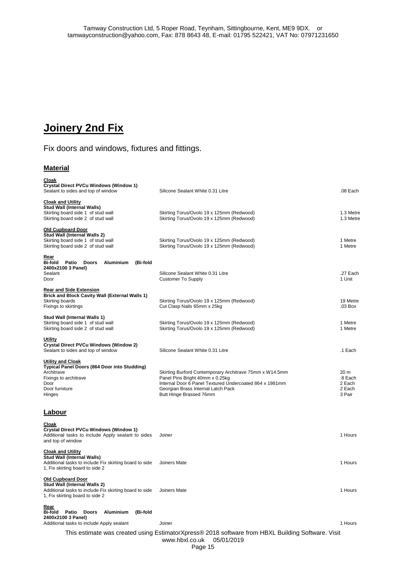## **Joinery 2nd Fix**

## Fix doors and windows, fixtures and fittings.

### **Material**

| Cloak<br>Crystal Direct PVCu Windows (Window 1)<br>Sealant to sides and top of window                                                                 | Silicone Sealant White 0.31 Litre                                                                                                                                                                                      | .08 Each                                                 |
|-------------------------------------------------------------------------------------------------------------------------------------------------------|------------------------------------------------------------------------------------------------------------------------------------------------------------------------------------------------------------------------|----------------------------------------------------------|
| <b>Cloak and Utility</b><br>Stud Wall (Internal Walls)<br>Skirting board side 1 of stud wall<br>Skirting board side 2 of stud wall                    | Skirting Torus/Ovolo 19 x 125mm (Redwood)<br>Skirting Torus/Ovolo 19 x 125mm (Redwood)                                                                                                                                 | 1.3 Metre<br>1.3 Metre                                   |
| <b>Old Cupboard Door</b><br>Stud Wall (Internal Walls 2)<br>Skirting board side 1 of stud wall<br>Skirting board side 2 of stud wall                  | Skirting Torus/Ovolo 19 x 125mm (Redwood)<br>Skirting Torus/Ovolo 19 x 125mm (Redwood)                                                                                                                                 | 1 Metre<br>1 Metre                                       |
| Rear<br>Bi-fold Patio<br><b>Aluminium</b><br>(Bi-fold<br><b>Doors</b><br>2400x2100 3 Panel)<br>Sealant<br>Door                                        | Silicone Sealant White 0.31 Litre<br><b>Customer To Supply</b>                                                                                                                                                         | .27 Each<br>1 Unit                                       |
| <b>Rear and Side Extension</b><br>Brick and Block Cavity Wall (External Walls 1)<br>Skirting boards<br>Fixings to skirtings                           | Skirting Torus/Ovolo 19 x 125mm (Redwood)<br>Cut Clasp Nails 65mm x 25kg                                                                                                                                               | 19 Metre<br>$.03$ Box                                    |
| Stud Wall (Internal Walls 1)<br>Skirting board side 1 of stud wall<br>Skirting board side 2 of stud wall                                              | Skirting Torus/Ovolo 19 x 125mm (Redwood)<br>Skirting Torus/Ovolo 19 x 125mm (Redwood)                                                                                                                                 | 1 Metre<br>1 Metre                                       |
| <u>Utility</u><br>Crystal Direct PVCu Windows (Window 2)<br>Sealant to sides and top of window                                                        | Silicone Sealant White 0.31 Litre                                                                                                                                                                                      | .1 Each                                                  |
| <b>Utility and Cloak</b><br>Typical Panel Doors (864 Door into Studding)<br>Architrave<br>Fixings to architrave<br>Door<br>Door furniture<br>Hinges   | Skirting Burford Contemporary Architrave 75mm x W14.5mm<br>Panel Pins Bright 40mm x 0.25kg<br>Internal Door 6 Panel Textured Undercoated 864 x 1981mm<br>Georgian Brass Internal Latch Pack<br>Butt Hinge Brassed 76mm | 20 <sub>m</sub><br>.8 Each<br>2 Each<br>2 Each<br>3 Pair |
| <b>Labour</b>                                                                                                                                         |                                                                                                                                                                                                                        |                                                          |
| Cloak<br>Crystal Direct PVCu Windows (Window 1)<br>Additional tasks to include Apply sealant to sides<br>and top of window                            | Joiner                                                                                                                                                                                                                 | 1 Hours                                                  |
| <b>Cloak and Utility</b><br>Stud Wall (Internal Walls)<br>Additional tasks to include Fix skirting board to side<br>1, Fix skirting board to side 2   | Joiners Mate                                                                                                                                                                                                           | 1 Hours                                                  |
| <b>Old Cupboard Door</b><br>Stud Wall (Internal Walls 2)<br>Additional tasks to include Fix skirting board to side<br>1, Fix skirting board to side 2 | Joiners Mate                                                                                                                                                                                                           | 1 Hours                                                  |
| Rear<br>Bi-fold<br>Aluminium<br>(Bi-fold<br>Patio<br>Doors<br>2400x2100 3 Panel)<br>Additional tasks to include Apply sealant                         | Joiner                                                                                                                                                                                                                 | 1 Hours                                                  |
|                                                                                                                                                       | This estimate was created using EstimatorXpress® 2018 software from HBXL Building Software. Visit                                                                                                                      |                                                          |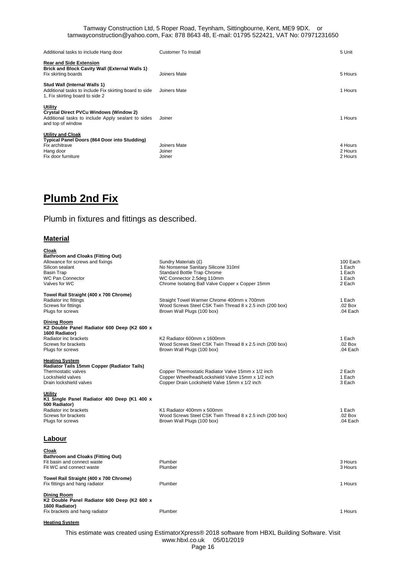| Additional tasks to include Hang door                                                                                                | Customer To Install              | 5 Unit                        |
|--------------------------------------------------------------------------------------------------------------------------------------|----------------------------------|-------------------------------|
| <b>Rear and Side Extension</b><br><b>Brick and Block Cavity Wall (External Walls 1)</b><br>Fix skirting boards                       | Joiners Mate                     | 5 Hours                       |
| Stud Wall (Internal Walls 1)<br>Additional tasks to include Fix skirting board to side<br>1, Fix skirting board to side 2            | Joiners Mate                     | 1 Hours                       |
| Utility<br><b>Crystal Direct PVCu Windows (Window 2)</b><br>Additional tasks to include Apply sealant to sides<br>and top of window  | Joiner                           | 1 Hours                       |
| <b>Utility and Cloak</b><br><b>Typical Panel Doors (864 Door into Studding)</b><br>Fix architrave<br>Hang door<br>Fix door furniture | Joiners Mate<br>Joiner<br>Joiner | 4 Hours<br>2 Hours<br>2 Hours |

## **Plumb 2nd Fix**

Plumb in fixtures and fittings as described.

### **Material**

| Cloak                                       |                                                          |            |
|---------------------------------------------|----------------------------------------------------------|------------|
| <b>Bathroom and Cloaks (Fitting Out)</b>    |                                                          |            |
| Allowance for screws and fixings            | Sundry Materials (£)                                     | 100 Each   |
| Silicon sealant                             | No Nonsense Sanitary Silicone 310ml                      | 1 Each     |
| Basin Trap                                  | Standard Bottle Trap Chrome                              | 1 Each     |
| <b>WC Pan Connector</b>                     | WC Connector 2.5deg 110mm                                | 1 Each     |
| Valves for WC                               | Chrome Isolating Ball Valve Copper x Copper 15mm         | 2 Each     |
| Towel Rail Straight (400 x 700 Chrome)      |                                                          |            |
| Radiator inc fittings                       | Straight Towel Warmer Chrome 400mm x 700mm               | 1 Each     |
| Screws for fittings                         | Wood Screws Steel CSK Twin Thread 8 x 2.5 inch (200 box) | .02 Box    |
| Plugs for screws                            | Brown Wall Plugs (100 box)                               | $.04$ Each |
| Dining Room                                 |                                                          |            |
| K2 Double Panel Radiator 600 Deep (K2 600 x |                                                          |            |
| 1600 Radiator)                              |                                                          |            |
| Radiator inc brackets                       | K2 Radiator 600mm x 1600mm                               | 1 Each     |
| Screws for brackets                         | Wood Screws Steel CSK Twin Thread 8 x 2.5 inch (200 box) | .02 Box    |
| Plugs for screws                            | Brown Wall Plugs (100 box)                               | $.04$ Each |
| <b>Heating System</b>                       |                                                          |            |
| Radiator Tails 15mm Copper (Radiator Tails) |                                                          |            |
| Thermostatic valves                         | Copper Thermostatic Radiator Valve 15mm x 1/2 inch       | 2 Each     |
| Lockshield valves                           | Copper Wheelhead/Lockshield Valve 15mm x 1/2 inch        | 1 Each     |
| Drain lockshield valves                     | Copper Drain Lockshield Valve 15mm x 1/2 inch            | 3 Each     |
| Utility                                     |                                                          |            |
| K1 Single Panel Radiator 400 Deep (K1 400 x |                                                          |            |
| 500 Radiator)                               |                                                          |            |
| Radiator inc brackets                       | K1 Radiator 400mm x 500mm                                | 1 Each     |
| Screws for brackets                         | Wood Screws Steel CSK Twin Thread 8 x 2.5 inch (200 box) | .02 Box    |
| Plugs for screws                            | Brown Wall Plugs (100 box)                               | $.04$ Each |
|                                             |                                                          |            |
| Labour                                      |                                                          |            |
| Cloak                                       |                                                          |            |
| <b>Bathroom and Cloaks (Fitting Out)</b>    |                                                          |            |
| Fit basin and connect waste                 | Plumber                                                  | 3 Hours    |
| Fit WC and connect waste                    | Plumber                                                  | 3 Hours    |
| Towel Rail Straight (400 x 700 Chrome)      |                                                          |            |
| Fix fittings and hang radiator              | Plumber                                                  | 1 Hours    |
| Dining Room                                 |                                                          |            |
| K2 Double Panel Radiator 600 Deep (K2 600 x |                                                          |            |
| 1600 Radiator)                              |                                                          |            |
| Fix brackets and hang radiator              | Plumber                                                  | 1 Hours    |
|                                             |                                                          |            |

#### **Heating System**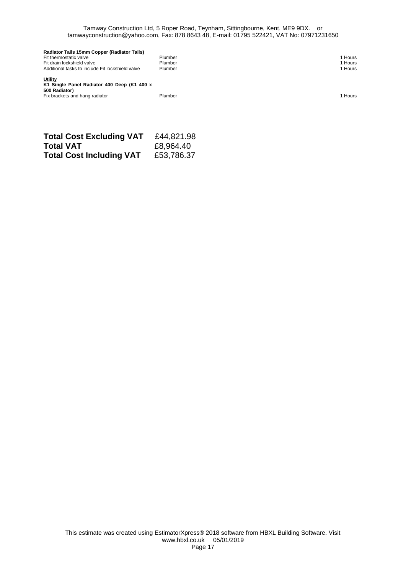| Radiator Tails 15mm Copper (Radiator Tails)                                    |         |         |
|--------------------------------------------------------------------------------|---------|---------|
| Fit thermostatic valve                                                         | Plumber | Hours   |
| Fit drain lockshield valve                                                     | Plumber | l Hours |
| Additional tasks to include Fit lockshield valve                               | Plumber | l Hours |
| <b>Utility</b><br>K1 Single Panel Radiator 400 Deep (K1 400 x<br>500 Radiator) |         |         |

Fix brackets and hang radiator Plumber 1 Hours

| <b>Total Cost Excluding VAT</b> | £44,821.98 |
|---------------------------------|------------|
| Total VAT                       | £8,964.40  |
| <b>Total Cost Including VAT</b> | £53,786.37 |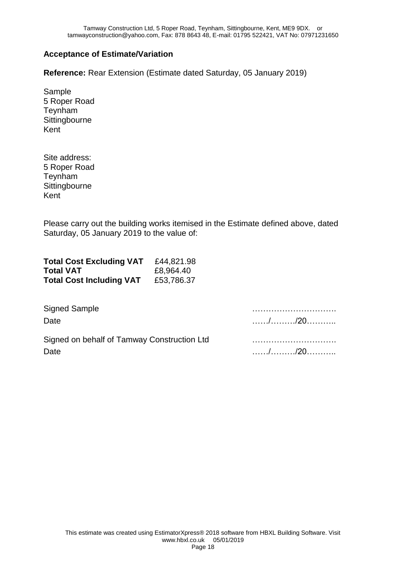## **Acceptance of Estimate/Variation**

**Reference:** Rear Extension (Estimate dated Saturday, 05 January 2019)

Sample 5 Roper Road Teynham **Sittingbourne** Kent

Site address: 5 Roper Road Teynham **Sittingbourne** Kent

Please carry out the building works itemised in the Estimate defined above, dated Saturday, 05 January 2019 to the value of:

| <b>Total Cost Excluding VAT</b> | £44,821.98 |
|---------------------------------|------------|
| <b>Total VAT</b>                | £8,964.40  |
| <b>Total Cost Including VAT</b> | £53,786.37 |

| <b>Signed Sample</b>                        | .       |
|---------------------------------------------|---------|
| Date                                        | //20    |
| Signed on behalf of Tamway Construction Ltd |         |
| Date                                        | . / /20 |